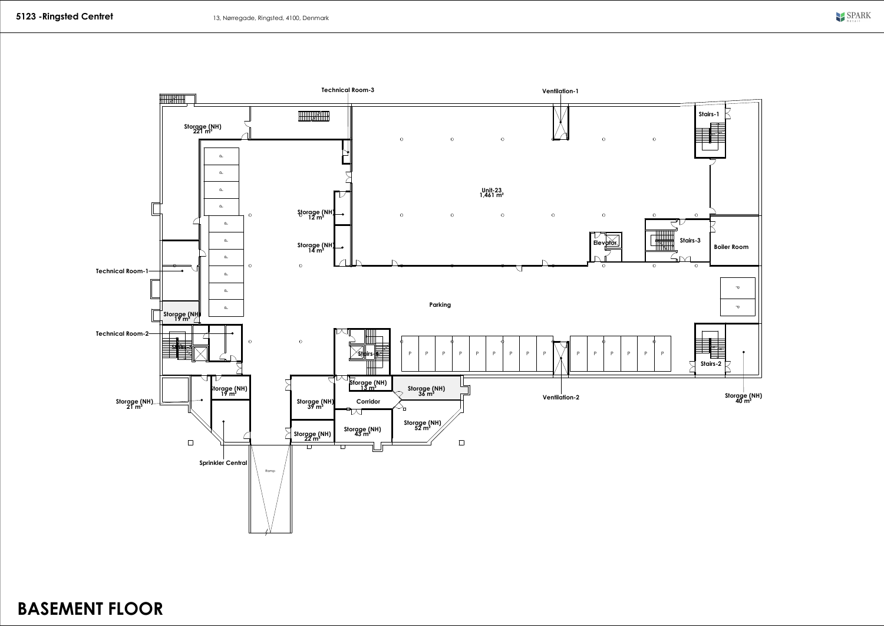

BASEMENT FLOOR

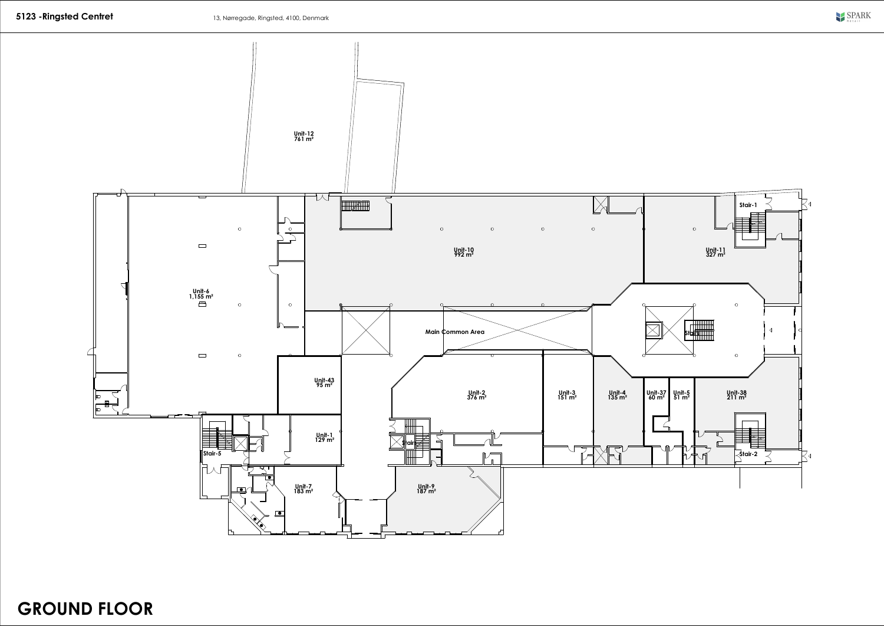

GROUND FLOOR

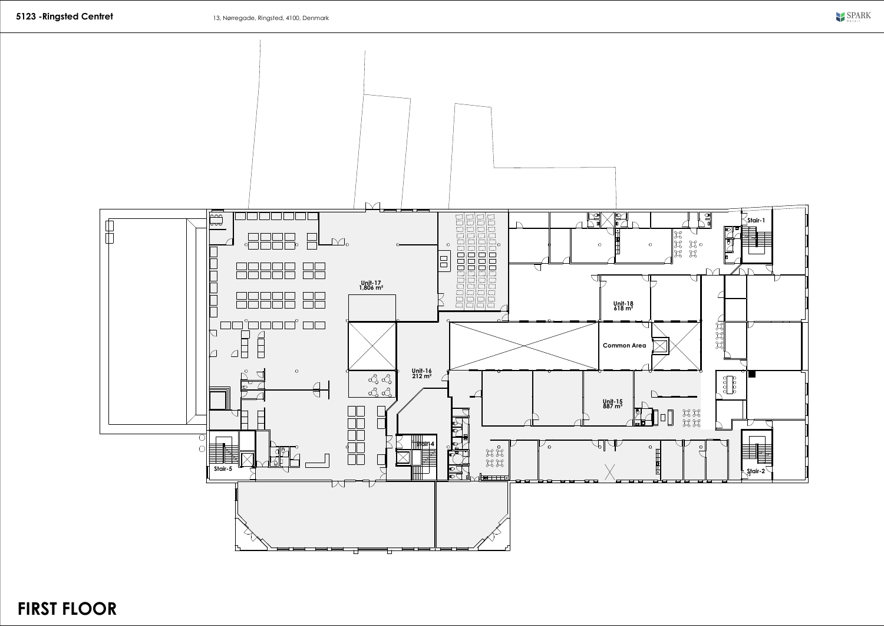

## FIRST FLOOR